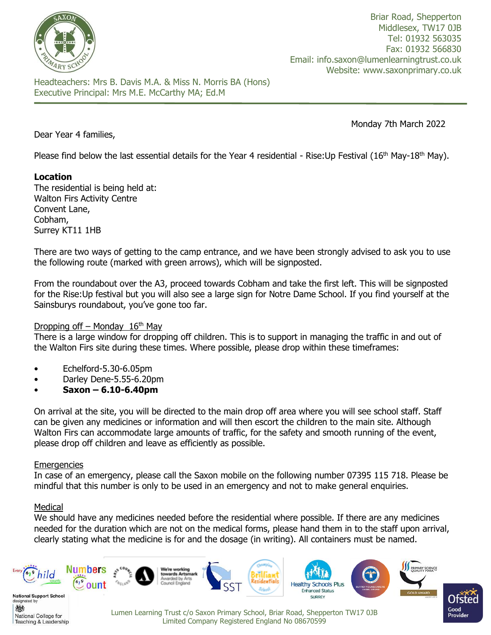

Briar Road, Shepperton Middlesex, TW17 0JB Tel: 01932 563035 Fax: 01932 566830 Email: info.saxon@lumenlearningtrust.co.uk Website: www.saxonprimary.co.uk

Headteachers: Mrs B. Davis M.A. & Miss N. Morris BA (Hons) Executive Principal: Mrs M.E. McCarthy MA; Ed.M

Monday 7th March 2022

Dear Year 4 families,

Please find below the last essential details for the Year 4 residential - Rise:Up Festival (16<sup>th</sup> May-18<sup>th</sup> May).

# **Location**

The residential is being held at: Walton Firs Activity Centre Convent Lane, Cobham, Surrey KT11 1HB

There are two ways of getting to the camp entrance, and we have been strongly advised to ask you to use the following route (marked with green arrows), which will be signposted.

From the roundabout over the A3, proceed towards Cobham and take the first left. This will be signposted for the Rise:Up festival but you will also see a large sign for Notre Dame School. If you find yourself at the Sainsburys roundabout, you've gone too far.

### Dropping off – Monday  $16<sup>th</sup>$  May

There is a large window for dropping off children. This is to support in managing the traffic in and out of the Walton Firs site during these times. Where possible, please drop within these timeframes:

- Echelford-5.30-6.05pm
- Darley Dene-5.55-6.20pm
- **Saxon – 6.10-6.40pm**

On arrival at the site, you will be directed to the main drop off area where you will see school staff. Staff can be given any medicines or information and will then escort the children to the main site. Although Walton Firs can accommodate large amounts of traffic, for the safety and smooth running of the event, please drop off children and leave as efficiently as possible.

### **Emergencies**

In case of an emergency, please call the Saxon mobile on the following number 07395 115 718. Please be mindful that this number is only to be used in an emergency and not to make general enquiries.

### Medical

We should have any medicines needed before the residential where possible. If there are any medicines needed for the duration which are not on the medical forms, please hand them in to the staff upon arrival, clearly stating what the medicine is for and the dosage (in writing). All containers must be named.

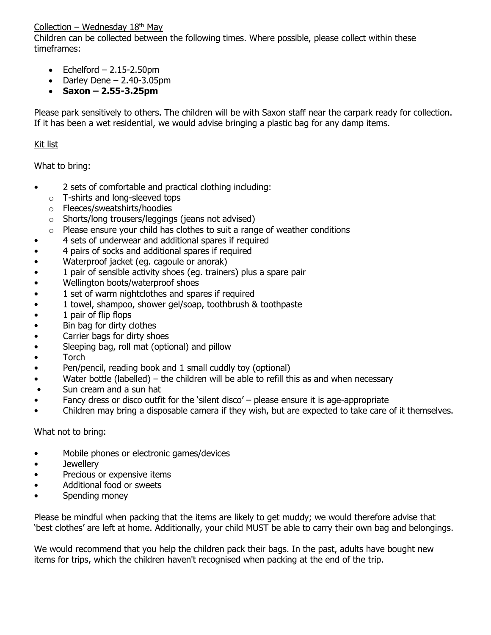### Collection – Wednesday  $18<sup>th</sup>$  May

Children can be collected between the following times. Where possible, please collect within these timeframes:

- Echelford  $-2.15-2.50$ pm
- Darley Dene  $2.40 3.05$ pm
- **Saxon – 2.55-3.25pm**

Please park sensitively to others. The children will be with Saxon staff near the carpark ready for collection. If it has been a wet residential, we would advise bringing a plastic bag for any damp items.

## Kit list

What to bring:

- 2 sets of comfortable and practical clothing including:
	- o T-shirts and long-sleeved tops
	- o Fleeces/sweatshirts/hoodies
	- o Shorts/long trousers/leggings (jeans not advised)
	- $\circ$  Please ensure your child has clothes to suit a range of weather conditions
- 4 sets of underwear and additional spares if required
- 4 pairs of socks and additional spares if required
- Waterproof jacket (eg. cagoule or anorak)
- 1 pair of sensible activity shoes (eg. trainers) plus a spare pair
- Wellington boots/waterproof shoes
- 1 set of warm nightclothes and spares if required
- 1 towel, shampoo, shower gel/soap, toothbrush & toothpaste
- 1 pair of flip flops
- Bin bag for dirty clothes
- Carrier bags for dirty shoes
- Sleeping bag, roll mat (optional) and pillow
- Torch
- Pen/pencil, reading book and 1 small cuddly toy (optional)
- Water bottle (labelled) the children will be able to refill this as and when necessary
- Sun cream and a sun hat
- Fancy dress or disco outfit for the 'silent disco'  $-$  please ensure it is age-appropriate
- Children may bring a disposable camera if they wish, but are expected to take care of it themselves.

What not to bring:

- Mobile phones or electronic games/devices
- Jewellery
- Precious or expensive items
- Additional food or sweets
- Spending money

Please be mindful when packing that the items are likely to get muddy; we would therefore advise that 'best clothes' are left at home. Additionally, your child MUST be able to carry their own bag and belongings.

We would recommend that you help the children pack their bags. In the past, adults have bought new items for trips, which the children haven't recognised when packing at the end of the trip.